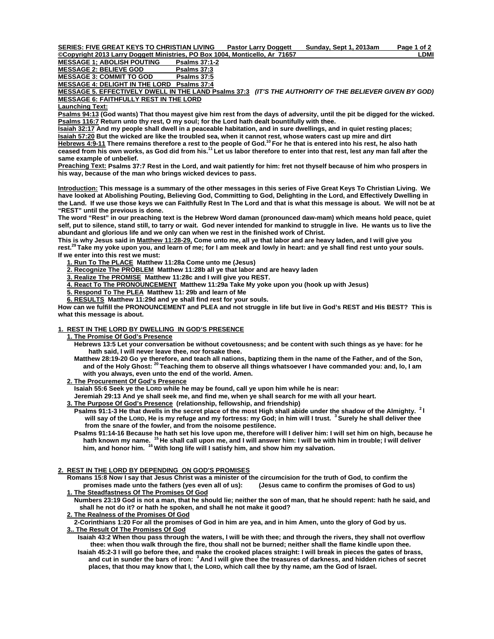**SERIES: FIVE GREAT KEYS TO CHRISTIAN LIVING Pastor Larry Doggett Sunday, Sept 1, 2013am Page 1 of 2 ©Copyright 2013 Larry Doggett Ministries, PO Box 1004, Monticello, Ar 71657 LDMI**

**MESSAGE 1; ABOLISH POUTING** 

MESSAGE 2: BELIEVE GOD Psalms 37:3

**MESSAGE 3: COMMIT TO GOD Psalms 37:5**

**MESSAGE 4: DELIGHT IN THE LORD Psalms 37:4**

**MESSAGE 5. EFFECTIVELY DWELL IN THE LAND Psalms 37:3** *(IT'S THE AUTHORITY OF THE BELIEVER GIVEN BY GOD)*  **MESSAGE 6: FAITHFULLY REST IN THE LORD**

**Launching Text:** 

**Psalms 94:13 (God wants) That thou mayest give him rest from the days of adversity, until the pit be digged for the wicked. Psalms 116:7 Return unto thy rest, O my soul; for the Lord hath dealt bountifully with thee.** 

**Isaiah 32:17 And my people shall dwell in a peaceable habitation, and in sure dwellings, and in quiet resting places; Isaiah 57:20 But the wicked are like the troubled sea, when it cannot rest, whose waters cast up mire and dirt Hebrews 4:9-11 There remains therefore a rest to the people of God.10 For he that is entered into his rest, he also hath ceased from his own works, as God did from his.11 Let us labor therefore to enter into that rest, lest any man fall after the** 

**same example of unbelief.** 

**Preaching Text: Psalms 37:7 Rest in the Lord, and wait patiently for him: fret not thyself because of him who prospers in his way, because of the man who brings wicked devices to pass.** 

**Introduction: This message is a summary of the other messages in this series of Five Great Keys To Christian Living. We have looked at Abolishing Pouting, Believing God, Committing to God, Delighting in the Lord, and Effectively Dwelling in the Land. If we use those keys we can Faithfully Rest In The Lord and that is what this message is about. We will not be at "REST" until the previous is done.** 

**The word "Rest" in our preaching text is the Hebrew Word daman (pronounced daw-mam) which means hold peace, quiet self, put to silence, stand still, to tarry or wait. God never intended for mankind to struggle in live. He wants us to live the abundant and glorious life and we only can when we rest in the finished work of Christ.** 

**This is why Jesus said in Matthew 11:28-29, Come unto me, all ye that labor and are heavy laden, and I will give you rest.29 Take my yoke upon you, and learn of me; for I am meek and lowly in heart: and ye shall find rest unto your souls. If we enter into this rest we must:** 

 **1. Run To The PLACE Matthew 11:28a Come unto me (Jesus)** 

 **2. Recognize The PROBLEM Matthew 11:28b all ye that labor and are heavy laden** 

 **3. Realize The PROMISE Matthew 11:28c and I will give you REST.** 

 **4. React To The PRONOUNCEMENT Matthew 11:29a Take My yoke upon you (hook up with Jesus)** 

 **5. Respond To The PLEA Matthew 11: 29b and learn of Me** 

 **6. RESULTS Matthew 11:29d and ye shall find rest for your souls.** 

**How can we fulfill the PRONOUNCEMENT and PLEA and not struggle in life but live in God's REST and His BEST? This is what this message is about.** 

## **1. REST IN THE LORD BY DWELLING IN GOD'S PRESENCE**

 **1. The Promise Of God's Presence**

 **Hebrews 13:5 Let your conversation be without covetousness; and be content with such things as ye have: for he hath said, I will never leave thee, nor forsake thee.** 

Matthew 28:19-20 Go ye therefore, and teach all nations, baptizing them in the name of the Father, and of the Son,<br>and of the Holy Ghost: <sup>20</sup> Teaching them to observe all things whatsoever I have commanded you: and, lo, I  **with you always, even unto the end of the world. Amen.** 

## **2. The Procurement Of God's Presence**

 **Isaiah 55:6 Seek ye the LORD while he may be found, call ye upon him while he is near:**

 **Jeremiah 29:13 And ye shall seek me, and find me, when ye shall search for me with all your heart.** 

 **3. The Purpose Of God's Presence (relationship, fellowship, and friendship)** 

 **Psalms 91:1-3 He that dwells in the secret place of the most High shall abide under the shadow of the Almighty. 2 I will say of the LORD, He is my refuge and my fortress: my God; in him will I trust. 3 Surely he shall deliver thee from the snare of the fowler, and from the noisome pestilence.** 

 **Psalms 91:14-16 Because he hath set his love upon me, therefore will I deliver him: I will set him on high, because he hath known my name. 15 He shall call upon me, and I will answer him: I will be with him in trouble; I will deliver him, and honor him. 16 With long life will I satisfy him, and show him my salvation.** 

## **2. REST IN THE LORD BY DEPENDING ON GOD'S PROMISES**

 **Romans 15:8 Now I say that Jesus Christ was a minister of the circumcision for the truth of God, to confirm the promises made unto the fathers (yes even all of us): (Jesus came to confirm the promises of God to us) 1. The Steadfastness Of The Promises Of God**

 **Numbers 23:19 God is not a man, that he should lie; neither the son of man, that he should repent: hath he said, and shall he not do it? or hath he spoken, and shall he not make it good?** 

## **2. The Realness of the Promises Of God**

 **2-Corinthians 1:20 For all the promises of God in him are yea, and in him Amen, unto the glory of God by us.** 

#### **3.. The Result Of The Promises Of God**

 **Isaiah 43:2 When thou pass through the waters, I will be with thee; and through the rivers, they shall not overflow thee: when thou walk through the fire, thou shall not be burned; neither shall the flame kindle upon thee. Isaiah 45:2-3 I will go before thee, and make the crooked places straight: I will break in pieces the gates of brass,** 

 **and cut in sunder the bars of iron: 3 And I will give thee the treasures of darkness, and hidden riches of secret places, that thou may know that I, the LORD, which call thee by thy name, am the God of Israel.**